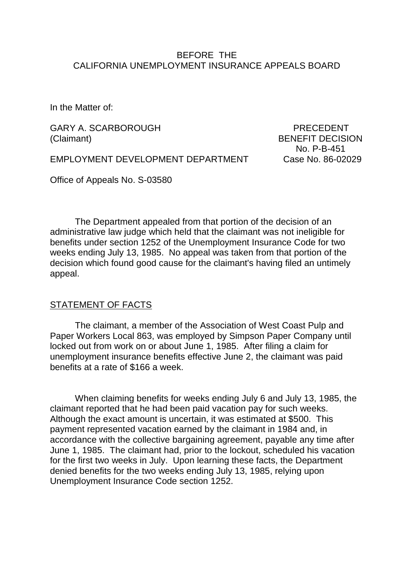#### BEFORE THE CALIFORNIA UNEMPLOYMENT INSURANCE APPEALS BOARD

In the Matter of:

GARY A. SCARBOROUGH PRECEDENT (Claimant) BENEFIT DECISION

No. P-B-451

EMPLOYMENT DEVELOPMENT DEPARTMENT Case No. 86-02029

Office of Appeals No. S-03580

The Department appealed from that portion of the decision of an administrative law judge which held that the claimant was not ineligible for benefits under section 1252 of the Unemployment Insurance Code for two weeks ending July 13, 1985. No appeal was taken from that portion of the decision which found good cause for the claimant's having filed an untimely appeal.

#### STATEMENT OF FACTS

The claimant, a member of the Association of West Coast Pulp and Paper Workers Local 863, was employed by Simpson Paper Company until locked out from work on or about June 1, 1985. After filing a claim for unemployment insurance benefits effective June 2, the claimant was paid benefits at a rate of \$166 a week.

When claiming benefits for weeks ending July 6 and July 13, 1985, the claimant reported that he had been paid vacation pay for such weeks. Although the exact amount is uncertain, it was estimated at \$500. This payment represented vacation earned by the claimant in 1984 and, in accordance with the collective bargaining agreement, payable any time after June 1, 1985. The claimant had, prior to the lockout, scheduled his vacation for the first two weeks in July. Upon learning these facts, the Department denied benefits for the two weeks ending July 13, 1985, relying upon Unemployment Insurance Code section 1252.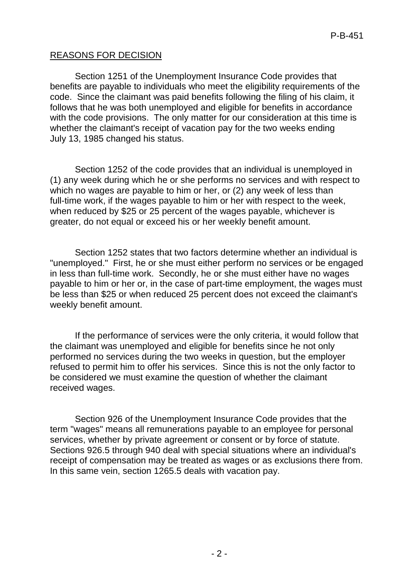### REASONS FOR DECISION

Section 1251 of the Unemployment Insurance Code provides that benefits are payable to individuals who meet the eligibility requirements of the code. Since the claimant was paid benefits following the filing of his claim, it follows that he was both unemployed and eligible for benefits in accordance with the code provisions. The only matter for our consideration at this time is whether the claimant's receipt of vacation pay for the two weeks ending July 13, 1985 changed his status.

Section 1252 of the code provides that an individual is unemployed in (1) any week during which he or she performs no services and with respect to which no wages are payable to him or her, or (2) any week of less than full-time work, if the wages payable to him or her with respect to the week, when reduced by \$25 or 25 percent of the wages payable, whichever is greater, do not equal or exceed his or her weekly benefit amount.

Section 1252 states that two factors determine whether an individual is "unemployed." First, he or she must either perform no services or be engaged in less than full-time work. Secondly, he or she must either have no wages payable to him or her or, in the case of part-time employment, the wages must be less than \$25 or when reduced 25 percent does not exceed the claimant's weekly benefit amount.

If the performance of services were the only criteria, it would follow that the claimant was unemployed and eligible for benefits since he not only performed no services during the two weeks in question, but the employer refused to permit him to offer his services. Since this is not the only factor to be considered we must examine the question of whether the claimant received wages.

Section 926 of the Unemployment Insurance Code provides that the term "wages" means all remunerations payable to an employee for personal services, whether by private agreement or consent or by force of statute. Sections 926.5 through 940 deal with special situations where an individual's receipt of compensation may be treated as wages or as exclusions there from. In this same vein, section 1265.5 deals with vacation pay.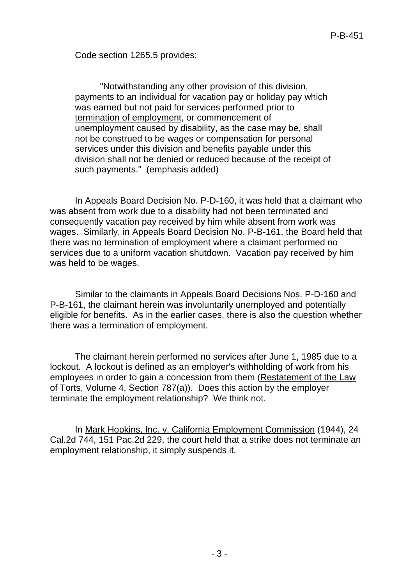Code section 1265.5 provides:

"Notwithstanding any other provision of this division, payments to an individual for vacation pay or holiday pay which was earned but not paid for services performed prior to termination of employment, or commencement of unemployment caused by disability, as the case may be, shall not be construed to be wages or compensation for personal services under this division and benefits payable under this division shall not be denied or reduced because of the receipt of such payments." (emphasis added)

In Appeals Board Decision No. P-D-160, it was held that a claimant who was absent from work due to a disability had not been terminated and consequently vacation pay received by him while absent from work was wages. Similarly, in Appeals Board Decision No. P-B-161, the Board held that there was no termination of employment where a claimant performed no services due to a uniform vacation shutdown. Vacation pay received by him was held to be wages.

Similar to the claimants in Appeals Board Decisions Nos. P-D-160 and P-B-161, the claimant herein was involuntarily unemployed and potentially eligible for benefits. As in the earlier cases, there is also the question whether there was a termination of employment.

The claimant herein performed no services after June 1, 1985 due to a lockout. A lockout is defined as an employer's withholding of work from his employees in order to gain a concession from them (Restatement of the Law of Torts, Volume 4, Section 787(a)). Does this action by the employer terminate the employment relationship? We think not.

In Mark Hopkins, Inc. v. California Employment Commission (1944), 24 Cal.2d 744, 151 Pac.2d 229, the court held that a strike does not terminate an employment relationship, it simply suspends it.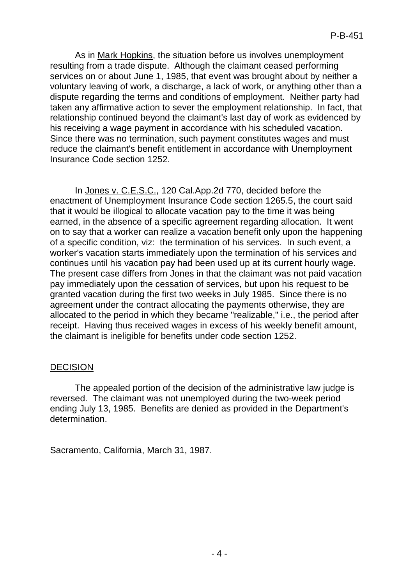As in Mark Hopkins, the situation before us involves unemployment resulting from a trade dispute. Although the claimant ceased performing services on or about June 1, 1985, that event was brought about by neither a voluntary leaving of work, a discharge, a lack of work, or anything other than a dispute regarding the terms and conditions of employment. Neither party had taken any affirmative action to sever the employment relationship. In fact, that relationship continued beyond the claimant's last day of work as evidenced by his receiving a wage payment in accordance with his scheduled vacation. Since there was no termination, such payment constitutes wages and must reduce the claimant's benefit entitlement in accordance with Unemployment Insurance Code section 1252.

In Jones v. C.E.S.C., 120 Cal.App.2d 770, decided before the enactment of Unemployment Insurance Code section 1265.5, the court said that it would be illogical to allocate vacation pay to the time it was being earned, in the absence of a specific agreement regarding allocation. It went on to say that a worker can realize a vacation benefit only upon the happening of a specific condition, viz: the termination of his services. In such event, a worker's vacation starts immediately upon the termination of his services and continues until his vacation pay had been used up at its current hourly wage. The present case differs from Jones in that the claimant was not paid vacation pay immediately upon the cessation of services, but upon his request to be granted vacation during the first two weeks in July 1985. Since there is no agreement under the contract allocating the payments otherwise, they are allocated to the period in which they became "realizable," i.e., the period after receipt. Having thus received wages in excess of his weekly benefit amount, the claimant is ineligible for benefits under code section 1252.

#### **DECISION**

The appealed portion of the decision of the administrative law judge is reversed. The claimant was not unemployed during the two-week period ending July 13, 1985. Benefits are denied as provided in the Department's determination.

Sacramento, California, March 31, 1987.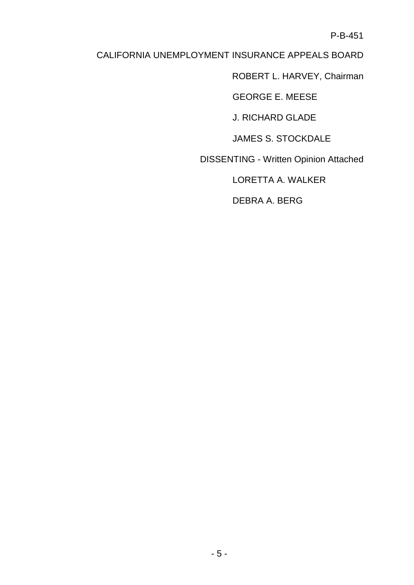P-B-451

# CALIFORNIA UNEMPLOYMENT INSURANCE APPEALS BOARD

ROBERT L. HARVEY, Chairman

GEORGE E. MEESE

J. RICHARD GLADE

JAMES S. STOCKDALE

DISSENTING - Written Opinion Attached

LORETTA A. WALKER

DEBRA A. BERG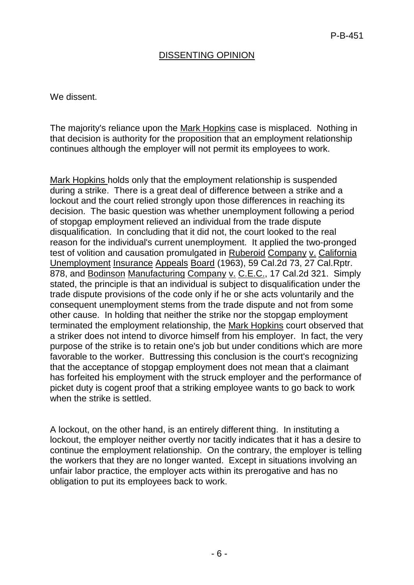## DISSENTING OPINION

We dissent.

The majority's reliance upon the Mark Hopkins case is misplaced. Nothing in that decision is authority for the proposition that an employment relationship continues although the employer will not permit its employees to work.

Mark Hopkins holds only that the employment relationship is suspended during a strike. There is a great deal of difference between a strike and a lockout and the court relied strongly upon those differences in reaching its decision. The basic question was whether unemployment following a period of stopgap employment relieved an individual from the trade dispute disqualification. In concluding that it did not, the court looked to the real reason for the individual's current unemployment. It applied the two-pronged test of volition and causation promulgated in Ruberoid Company v. California Unemployment Insurance Appeals Board (1963), 59 Cal.2d 73, 27 Cal.Rptr. 878, and Bodinson Manufacturing Company v. C.E.C., 17 Cal.2d 321. Simply stated, the principle is that an individual is subject to disqualification under the trade dispute provisions of the code only if he or she acts voluntarily and the consequent unemployment stems from the trade dispute and not from some other cause. In holding that neither the strike nor the stopgap employment terminated the employment relationship, the Mark Hopkins court observed that a striker does not intend to divorce himself from his employer. In fact, the very purpose of the strike is to retain one's job but under conditions which are more favorable to the worker. Buttressing this conclusion is the court's recognizing that the acceptance of stopgap employment does not mean that a claimant has forfeited his employment with the struck employer and the performance of picket duty is cogent proof that a striking employee wants to go back to work when the strike is settled.

A lockout, on the other hand, is an entirely different thing. In instituting a lockout, the employer neither overtly nor tacitly indicates that it has a desire to continue the employment relationship. On the contrary, the employer is telling the workers that they are no longer wanted. Except in situations involving an unfair labor practice, the employer acts within its prerogative and has no obligation to put its employees back to work.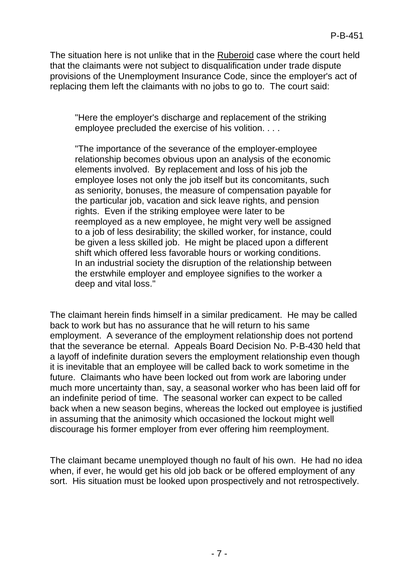The situation here is not unlike that in the Ruberoid case where the court held that the claimants were not subject to disqualification under trade dispute provisions of the Unemployment Insurance Code, since the employer's act of replacing them left the claimants with no jobs to go to. The court said:

"Here the employer's discharge and replacement of the striking employee precluded the exercise of his volition. . . .

"The importance of the severance of the employer-employee relationship becomes obvious upon an analysis of the economic elements involved. By replacement and loss of his job the employee loses not only the job itself but its concomitants, such as seniority, bonuses, the measure of compensation payable for the particular job, vacation and sick leave rights, and pension rights. Even if the striking employee were later to be reemployed as a new employee, he might very well be assigned to a job of less desirability; the skilled worker, for instance, could be given a less skilled job. He might be placed upon a different shift which offered less favorable hours or working conditions. In an industrial society the disruption of the relationship between the erstwhile employer and employee signifies to the worker a deep and vital loss."

The claimant herein finds himself in a similar predicament. He may be called back to work but has no assurance that he will return to his same employment. A severance of the employment relationship does not portend that the severance be eternal. Appeals Board Decision No. P-B-430 held that a layoff of indefinite duration severs the employment relationship even though it is inevitable that an employee will be called back to work sometime in the future. Claimants who have been locked out from work are laboring under much more uncertainty than, say, a seasonal worker who has been laid off for an indefinite period of time. The seasonal worker can expect to be called back when a new season begins, whereas the locked out employee is justified in assuming that the animosity which occasioned the lockout might well discourage his former employer from ever offering him reemployment.

The claimant became unemployed though no fault of his own. He had no idea when, if ever, he would get his old job back or be offered employment of any sort. His situation must be looked upon prospectively and not retrospectively.